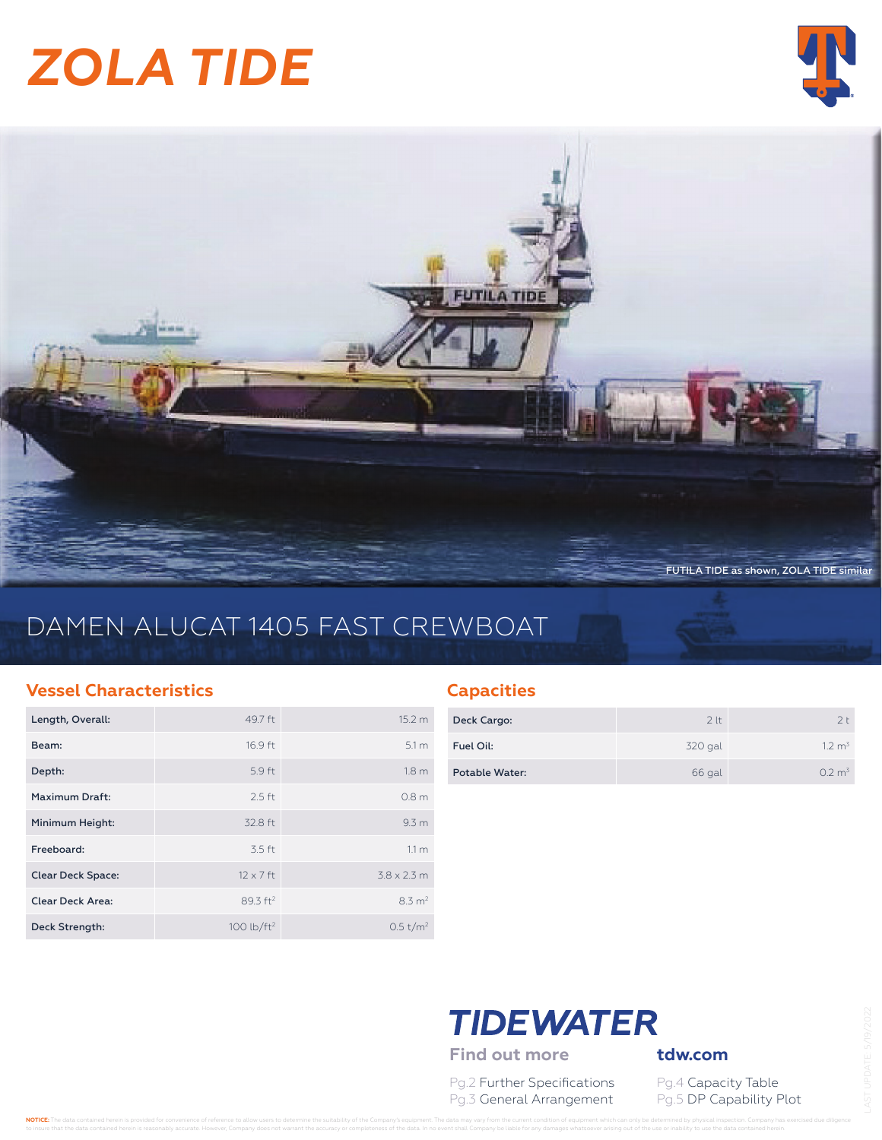# *ZOLA TIDE*





# DAMEN ALUCAT 1405 FAST CREWBOAT

### **Vessel Characteristics**

| Length, Overall:         | 49.7 ft                | 15.2 m               |
|--------------------------|------------------------|----------------------|
| Beam:                    | 16.9 ft                | 5.1 <sub>m</sub>     |
| Depth:                   | 5.9 ft                 | 1.8 <sub>m</sub>     |
| <b>Maximum Draft:</b>    | $2.5$ ft               | 0.8 <sub>m</sub>     |
| Minimum Height:          | 32.8 ft                | 9.3 <sub>m</sub>     |
| Freeboard:               | 3.5 ft                 | 11 <sub>m</sub>      |
| <b>Clear Deck Space:</b> | $12 \times 7$ ft       | $3.8 \times 2.3$ m   |
| <b>Clear Deck Area:</b>  | 89.3 ft <sup>2</sup>   | $8.3 \text{ m}^2$    |
| Deck Strength:           | 100 lb/ft <sup>2</sup> | 0.5 t/m <sup>2</sup> |

### **Capacities**

| Deck Cargo:    | 2 <sup>lt</sup> | フト                 |
|----------------|-----------------|--------------------|
| Fuel Oil:      | 320 gal         | 1.2 m <sup>3</sup> |
| Potable Water: | 66 gal          | 0.2 m <sup>3</sup> |

# **TIDEWATER**

Find out more **tdw.com** 

Pg.2 Further Specifications Pg.4 Capacity Table Pg.3 General Arrangement Pg.5 DP Capability Plot

NOTICE: The data contained herein is provided for convenience of reference to allow users to determine the suitability of the Company's equipment. The data may vary from the current condition of equipment which can only be to insure that the data contained herein is reasonably accurate. However, Company does not warrant the accuracy or completeness of the data. In no event shall Company be liable for any damages whatsoever arising out of the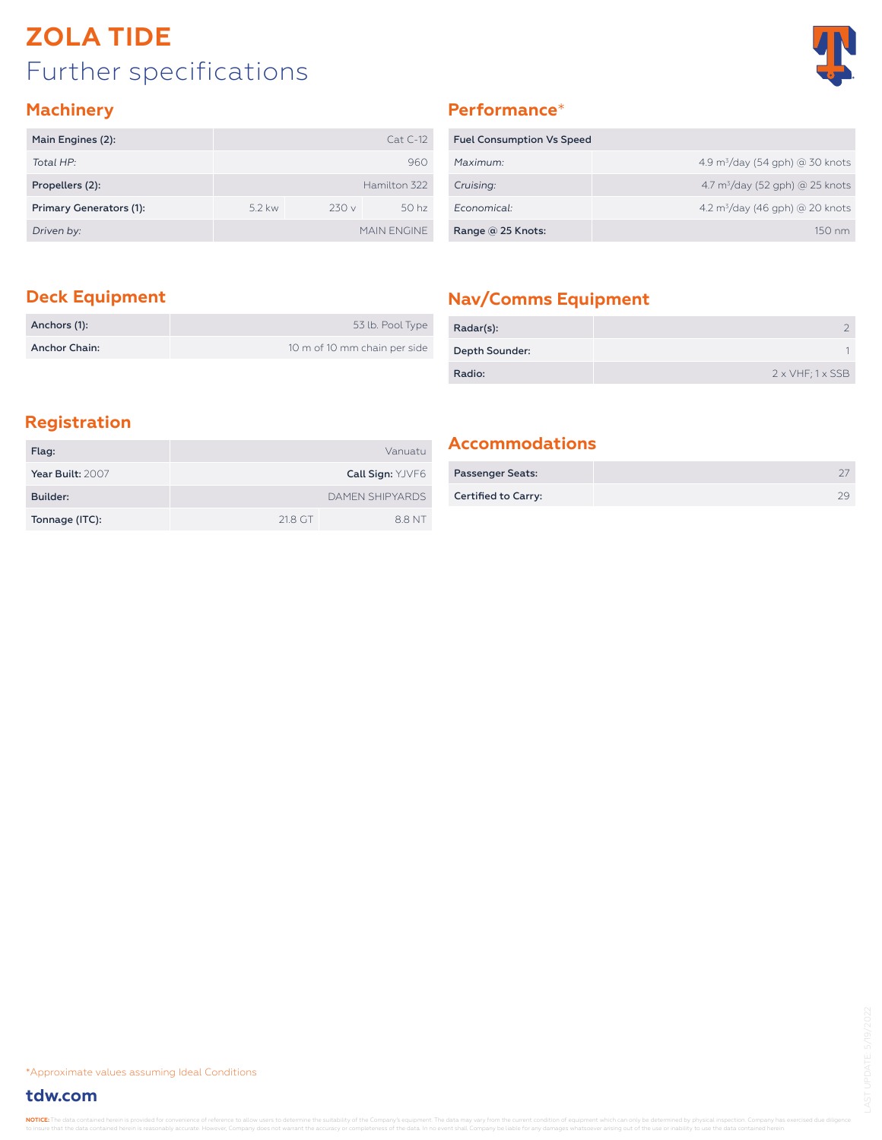# Further specifications **ZOLA TIDE**



### **Machinery**

| Main Engines (2):       |          |      | $Cat C-12$       |
|-------------------------|----------|------|------------------|
| Total HP:               |          |      | 960              |
| Propellers (2):         |          |      | Hamilton 322     |
| Primary Generators (1): | $5.2$ kw | 230v | 50 <sub>hz</sub> |
| Driven by:              |          |      | MAIN FNGINE      |

### **Performance**\*

| <b>Fuel Consumption Vs Speed</b> |                                        |
|----------------------------------|----------------------------------------|
| Maximum:                         | 4.9 $\rm m^3$ /day (54 gph) @ 30 knots |
| Cruising:                        | 4.7 $m^3$ /day (52 gph) @ 25 knots     |
| Economical:                      | 4.2 $\rm m^3$ /day (46 gph) @ 20 knots |
| Range @ 25 Knots:                | $150 \text{ nm}$                       |

| Anchors (1):  | 53 lb. Pool Type             |
|---------------|------------------------------|
| Anchor Chain: | 10 m of 10 mm chain per side |

### **Deck Equipment Nav/Comms Equipment**

| Radar(s):      |                                 |
|----------------|---------------------------------|
| Depth Sounder: |                                 |
| Radio:         | $2 \times VHF$ ; $1 \times SSB$ |

### **Registration**

| Flag:            |         | Vanuatu                 |
|------------------|---------|-------------------------|
| Year Built: 2007 |         | <b>Call Sign: YJVF6</b> |
| Builder:         |         | <b>DAMEN SHIPYARDS</b>  |
| Tonnage (ITC):   | 21.8 GT | 8.8 NT                  |

### **Accommodations**

| <b>Passenger Seats:</b> |  |
|-------------------------|--|
| Certified to Carry:     |  |

\*Approximate values assuming Ideal Conditions

### **tdw.com**

NOTICE: The data contained herein is provided for cor t the data contained herein is reasonably accurate. However, Company does not warrant the accuracy or completeness of the data. In no event shall Company be liable for any damages whatsoever arising out of the use or inabi